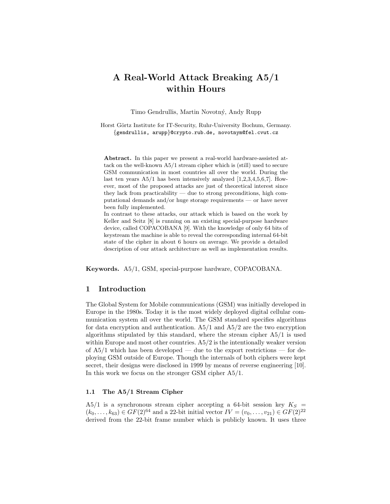# A Real-World Attack Breaking A5/1 within Hours

Timo Gendrullis, Martin Novotný, Andy Rupp

Horst Görtz Institute for IT-Security, Ruhr-University Bochum, Germany. {gendrullis, arupp}@crypto.rub.de, novotnym@fel.cvut.cz

Abstract. In this paper we present a real-world hardware-assisted attack on the well-known A5/1 stream cipher which is (still) used to secure GSM communication in most countries all over the world. During the last ten years  $A5/1$  has been intensively analyzed [1,2,3,4,5,6,7]. However, most of the proposed attacks are just of theoretical interest since they lack from practicability — due to strong preconditions, high computational demands and/or huge storage requirements — or have never been fully implemented.

In contrast to these attacks, our attack which is based on the work by Keller and Seitz [8] is running on an existing special-purpose hardware device, called COPACOBANA [9]. With the knowledge of only 64 bits of keystream the machine is able to reveal the corresponding internal 64-bit state of the cipher in about 6 hours on average. We provide a detailed description of our attack architecture as well as implementation results.

Keywords. A5/1, GSM, special-purpose hardware, COPACOBANA.

## 1 Introduction

The Global System for Mobile communications (GSM) was initially developed in Europe in the 1980s. Today it is the most widely deployed digital cellular communication system all over the world. The GSM standard specifies algorithms for data encryption and authentication.  $A5/1$  and  $A5/2$  are the two encryption algorithms stipulated by this standard, where the stream cipher A5/1 is used within Europe and most other countries. A5/2 is the intentionally weaker version of  $A5/1$  which has been developed — due to the export restrictions — for deploying GSM outside of Europe. Though the internals of both ciphers were kept secret, their designs were disclosed in 1999 by means of reverse engineering [10]. In this work we focus on the stronger GSM cipher A5/1.

## 1.1 The A5/1 Stream Cipher

A5/1 is a synchronous stream cipher accepting a 64-bit session key  $K_S =$  $(k_0, \ldots, k_{63}) \in GF(2)^{64}$  and a 22-bit initial vector  $IV = (v_0, \ldots, v_{21}) \in GF(2)^{22}$ derived from the 22-bit frame number which is publicly known. It uses three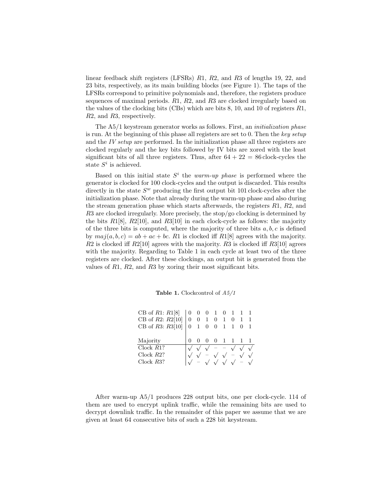linear feedback shift registers (LFSRs) R1, R2, and R3 of lengths 19, 22, and 23 bits, respectively, as its main building blocks (see Figure 1). The taps of the LFSRs correspond to primitive polynomials and, therefore, the registers produce sequences of maximal periods.  $R1, R2$ , and  $R3$  are clocked irregularly based on the values of the clocking bits (CBs) which are bits 8, 10, and 10 of registers R1, R2, and R3, respectively.

The A5/1 keystream generator works as follows. First, an initialization phase is run. At the beginning of this phase all registers are set to 0. Then the key setup and the IV setup are performed. In the initialization phase all three registers are clocked regularly and the key bits followed by IV bits are xored with the least significant bits of all three registers. Thus, after  $64 + 22 = 86$  clock-cycles the state  $S^i$  is achieved.

Based on this initial state  $S<sup>i</sup>$  the warm-up phase is performed where the generator is clocked for 100 clock-cycles and the output is discarded. This results directly in the state  $S^w$  producing the first output bit 101 clock-cycles after the initialization phase. Note that already during the warm-up phase and also during the stream generation phase which starts afterwards, the registers R1, R2, and R3 are clocked irregularly. More precisely, the stop/go clocking is determined by the bits  $R1[8]$ ,  $R2[10]$ , and  $R3[10]$  in each clock-cycle as follows: the majority of the three bits is computed, where the majority of three bits  $a, b, c$  is defined by  $maj(a, b, c) = ab + ac + bc$ . R1 is clocked iff R1[8] agrees with the majority.  $R2$  is clocked iff  $R2[10]$  agrees with the majority.  $R3$  is clocked iff  $R3[10]$  agrees with the majority. Regarding to Table 1 in each cycle at least two of the three registers are clocked. After these clockings, an output bit is generated from the values of  $R1$ ,  $R2$ , and  $R3$  by xoring their most significant bits.

|  | <b>Table 1.</b> Clockcontrol of $A5/1$ |  |  |  |
|--|----------------------------------------|--|--|--|
|--|----------------------------------------|--|--|--|

| CB of R1: $R1[8]$   0 0 0 1 0 1 1 1 |                |                |     |                                                                                                               |  |  |
|-------------------------------------|----------------|----------------|-----|---------------------------------------------------------------------------------------------------------------|--|--|
| CB of R2: $R2[10]$                  | $\overline{0}$ | $\overline{0}$ | - 1 | $0 \quad 1 \quad 0$                                                                                           |  |  |
| CB of $R3: R3[10]$                  |                |                |     | $0\quad 1\quad 0\quad 0\quad 1\quad 1\quad 0\quad 1$                                                          |  |  |
|                                     |                |                |     |                                                                                                               |  |  |
|                                     |                |                |     |                                                                                                               |  |  |
| Majority                            |                | 0              |     | $0 \t 0 \t 1 \t 1 \t 1 \t 1$                                                                                  |  |  |
| Clock $R1$ ?                        |                |                |     | $\sqrt{\sqrt{}}$ - $\sqrt{\sqrt{}}$                                                                           |  |  |
| $Clock$ $R2?$                       |                |                |     | $\sqrt{2}$ $\sqrt{2}$ $\sqrt{2}$ $\sqrt{2}$ $\sqrt{2}$<br>$\sqrt{-}$ $\sqrt{}$ $\sqrt{}$ $\sqrt{-}$ $\sqrt{}$ |  |  |

After warm-up A5/1 produces 228 output bits, one per clock-cycle. 114 of them are used to encrypt uplink traffic, while the remaining bits are used to decrypt downlink traffic. In the remainder of this paper we assume that we are given at least 64 consecutive bits of such a 228 bit keystream.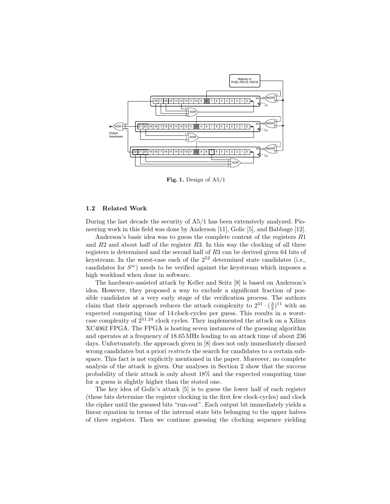

Fig. 1. Design of A5/1

#### 1.2 Related Work

During the last decade the security of A5/1 has been extensively analyzed. Pioneering work in this field was done by Anderson [11], Golic [5], and Babbage [12].

Anderson's basic idea was to guess the complete content of the registers R1 and  $R2$  and about half of the register  $R3$ . In this way the clocking of all three registers is determined and the second half of R3 can be derived given 64 bits of keystream. In the worst-case each of the 2<sup>52</sup> determined state candidates (i.e., candidates for  $S^w$ ) needs to be verified against the keystream which imposes a high workload when done in software.

The hardware-assisted attack by Keller and Seitz [8] is based on Anderson's idea. However, they proposed a way to exclude a significant fraction of possible candidates at a very early stage of the verification process. The authors claim that their approach reduces the attack complexity to  $2^{41} \cdot (\frac{3}{2})^{11}$  with an expected computing time of 14 clock-cycles per guess. This results in a worstcase complexity of  $2^{51.24}$  clock cycles. They implemented the attack on a Xilinx XC4062 FPGA. The FPGA is hosting seven instances of the guessing algorithm and operates at a frequency of 18.65 MHz leading to an attack time of about 236 days. Unfortunately, the approach given in [8] does not only immediately discard wrong candidates but a priori *restricts* the search for candidates to a certain subspace. This fact is not explicitly mentioned in the paper. Moreover, no complete analysis of the attack is given. Our analyses in Section 2 show that the success probability of their attack is only about 18% and the expected computing time for a guess is slightly higher than the stated one.

The key idea of Golic's attack [5] is to guess the lower half of each register (these bits determine the register clocking in the first few clock-cycles) and clock the cipher until the guessed bits "run-out". Each output bit immediately yields a linear equation in terms of the internal state bits belonging to the upper halves of three registers. Then we continue guessing the clocking sequence yielding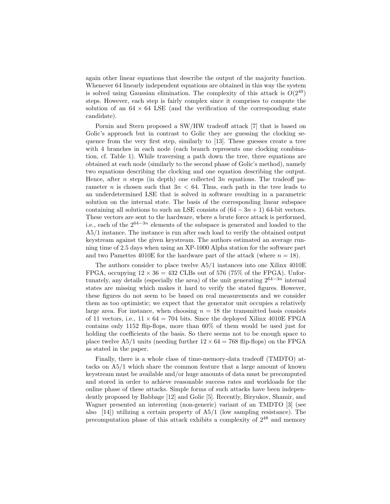again other linear equations that describe the output of the majority function. Whenever 64 linearly independent equations are obtained in this way the system is solved using Gaussian elimination. The complexity of this attack is  $O(2^{40})$ steps. However, each step is fairly complex since it comprises to compute the solution of an  $64 \times 64$  LSE (and the verification of the corresponding state candidate).

Pornin and Stern proposed a SW/HW tradeoff attack [7] that is based on Golic's approach but in contrast to Golic they are guessing the clocking sequence from the very first step, similarly to [13]. These guesses create a tree with 4 branches in each node (each branch represents one clocking combination, cf. Table 1). While traversing a path down the tree, three equations are obtained at each node (similarly to the second phase of Golic's method), namely two equations describing the clocking and one equation describing the output. Hence, after n steps (in depth) one collected  $3n$  equations. The tradeoff parameter n is chosen such that  $3n < 64$ . Thus, each path in the tree leads to an underdetermined LSE that is solved in software resulting in a parametric solution on the internal state. The basis of the corresponding linear subspace containing all solutions to such an LSE consists of  $(64 - 3n + 1)$  64-bit vectors. These vectors are sent to the hardware, where a brute force attack is performed, i.e., each of the  $2^{64-3n}$  elements of the subspace is generated and loaded to the A5/1 instance. The instance is run after each load to verify the obtained output keystream against the given keystream. The authors estimated an average running time of 2.5 days when using an XP-1000 Alpha station for the software part and two Pamettes 4010E for the hardware part of the attack (where  $n = 18$ ).

The authors consider to place twelve  $A5/1$  instances into one Xilinx 4010E FPGA, occupying  $12 \times 36 = 432$  CLBs out of 576 (75% of the FPGA). Unfortunately, any details (especially the area) of the unit generating  $2^{64-3n}$  internal states are missing which makes it hard to verify the stated figures. However, these figures do not seem to be based on real measurements and we consider them as too optimistic; we expect that the generator unit occupies a relatively large area. For instance, when choosing  $n = 18$  the transmitted basis consists of 11 vectors, i.e.,  $11 \times 64 = 704$  bits. Since the deployed Xilinx 4010E FPGA contains only 1152 flip-flops, more than 60% of them would be used just for holding the coefficients of the basis. So there seems not to be enough space to place twelve A5/1 units (needing further  $12 \times 64 = 768$  flip-flops) on the FPGA as stated in the paper.

Finally, there is a whole class of time-memory-data tradeoff (TMDTO) attacks on A5/1 which share the common feature that a large amount of known keystream must be available and/or huge amounts of data must be precomputed and stored in order to achieve reasonable success rates and workloads for the online phase of these attacks. Simple forms of such attacks have been independently proposed by Babbage [12] and Golic [5]. Recently, Biryukov, Shamir, and Wagner presented an interesting (non-generic) variant of an TMDTO [3] (see also [14]) utilizing a certain property of A5/1 (low sampling resistance). The precomputation phase of this attack exhibits a complexity of  $2^{48}$  and memory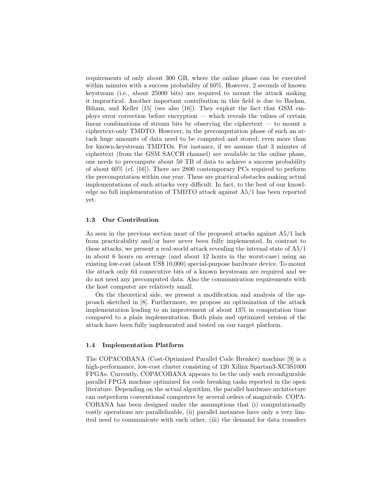requirements of only about 300 GB, where the online phase can be executed within minutes with a success probability of 60%. However, 2 seconds of known keystream (i.e., about 25000 bits) are required to mount the attack making it impractical. Another important contribution in this field is due to Barkan, Biham, and Keller [15] (see also [16]). They exploit the fact that GSM employs error correction before encryption — which reveals the values of certain linear combinations of stream bits by observing the ciphertext — to mount a ciphertext-only TMDTO. However, in the precomputation phase of such an attack huge amounts of data need to be computed and stored; even more than for known-keystream TMDTOs. For instance, if we assume that 3 minutes of ciphertext (from the GSM SACCH channel) are available in the online phase, one needs to precompute about 50 TB of data to achieve a success probability of about 60% (cf. [16]). There are 2800 contemporary PCs required to perform the precomputation within one year. These are practical obstacles making actual implementations of such attacks very difficult. In fact, to the best of our knowledge no full implementation of TMDTO attack against A5/1 has been reported yet.

#### 1.3 Our Contribution

As seen in the previous section most of the proposed attacks against A5/1 lack from practicability and/or have never been fully implemented. In contrast to these attacks, we present a real-world attack revealing the internal state of A5/1 in about 6 hours on average (and about 12 hours in the worst-case) using an existing low-cost (about US\$ 10,000) special-purpose hardware device. To mount the attack only 64 consecutive bits of a known keystream are required and we do not need any precomputed data. Also the communication requirements with the host computer are relatively small.

On the theoretical side, we present a modification and analysis of the approach sketched in [8]. Furthermore, we propose an optimization of the attack implementation leading to an improvement of about 13% in computation time compared to a plain implementation. Both plain and optimized version of the attack have been fully implemented and tested on our target platform.

#### 1.4 Implementation Platform

The COPACOBANA (Cost-Optimized Parallel Code Breaker) machine [9] is a high-performance, low-cost cluster consisting of 120 Xilinx Spartan3-XC3S1000 FPGAs. Currently, COPACOBANA appears to be the only such reconfigurable parallel FPGA machine optimized for code breaking tasks reported in the open literature. Depending on the actual algorithm, the parallel hardware architecture can outperform conventional computers by several orders of magnitude. COPA-COBANA has been designed under the assumptions that (i) computationally costly operations are parallelizable, (ii) parallel instances have only a very limited need to communicate with each other, (iii) the demand for data transfers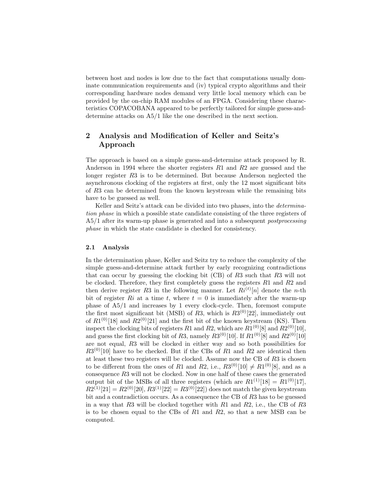between host and nodes is low due to the fact that computations usually dominate communication requirements and (iv) typical crypto algorithms and their corresponding hardware nodes demand very little local memory which can be provided by the on-chip RAM modules of an FPGA. Considering these characteristics COPACOBANA appeared to be perfectly tailored for simple guess-anddetermine attacks on A5/1 like the one described in the next section.

# 2 Analysis and Modification of Keller and Seitz's Approach

The approach is based on a simple guess-and-determine attack proposed by R. Anderson in 1994 where the shorter registers R1 and R2 are guessed and the longer register R3 is to be determined. But because Anderson neglected the asynchronous clocking of the registers at first, only the 12 most significant bits of R3 can be determined from the known keystream while the remaining bits have to be guessed as well.

Keller and Seitz's attack can be divided into two phases, into the *determina*tion phase in which a possible state candidate consisting of the three registers of A5/1 after its warm-up phase is generated and into a subsequent postprocessing phase in which the state candidate is checked for consistency.

#### 2.1 Analysis

In the determination phase, Keller and Seitz try to reduce the complexity of the simple guess-and-determine attack further by early recognizing contradictions that can occur by guessing the clocking bit (CB) of R3 such that R3 will not be clocked. Therefore, they first completely guess the registers  $R1$  and  $R2$  and then derive register R3 in the following manner. Let  $Ri^{(t)}[n]$  denote the *n*-th bit of register Ri at a time t, where  $t = 0$  is immediately after the warm-up phase of A5/1 and increases by 1 every clock-cycle. Then, foremost compute the first most significant bit (MSB) of R3, which is  $R3^{(0)}[22]$ , immediately out of  $R1^{(0)}[18]$  and  $R2^{(0)}[21]$  and the first bit of the known keystream (KS). Then inspect the clocking bits of registers  $R1$  and  $R2$ , which are  $R1^{(0)}[8]$  and  $R2^{(0)}[10]$ , and guess the first clocking bit of R3, namely  $R3^{(0)}[10]$ . If  $R1^{(0)}[8]$  and  $R2^{(0)}[10]$ are not equal, R3 will be clocked in either way and so both possibilities for  $R3^{(0)}[10]$  have to be checked. But if the CBs of R1 and R2 are identical then at least these two registers will be clocked. Assume now the CB of R3 is chosen to be different from the ones of R1 and R2, i.e.,  $R3^{(0)}[10] \neq R1^{(0)}[8]$ , and as a consequence R3 will not be clocked. Now in one half of these cases the generated output bit of the MSBs of all three registers (which are  $R1^{(1)}[18] = R1^{(0)}[17]$ ,  $R2^{(1)}[21] = R2^{(0)}[20], R3^{(1)}[22] = R3^{(0)}[22]$  does not match the given keystream bit and a contradiction occurs. As a consequence the CB of R3 has to be guessed in a way that R3 will be clocked together with R1 and R2, i.e., the CB of R3 is to be chosen equal to the CBs of  $R1$  and  $R2$ , so that a new MSB can be computed.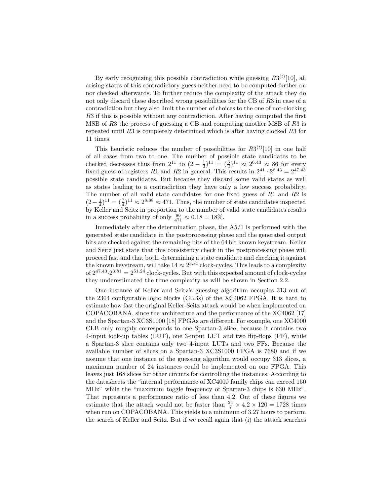By early recognizing this possible contradiction while guessing  $R3^{(t)}[10]$ , all arising states of this contradictory guess neither need to be computed further on nor checked afterwards. To further reduce the complexity of the attack they do not only discard these described wrong possibilities for the CB of R3 in case of a contradiction but they also limit the number of choices to the one of not-clocking R3 if this is possible without any contradiction. After having computed the first MSB of R3 the process of guessing a CB and computing another MSB of R3 is repeated until R3 is completely determined which is after having clocked R3 for 11 times.

This heuristic reduces the number of possibilities for  $R3<sup>(t)</sup>[10]$  in one half of all cases from two to one. The number of possible state candidates to be checked decreases thus from  $2^{11}$  to  $(2 - \frac{1}{2})^{11} = (\frac{3}{2})^{11} \approx 2^{6.43} \approx 86$  for every fixed guess of registers R1 and R2 in general. This results in  $2^{41} \cdot 2^{6.43} = 2^{47.43}$ possible state candidates. But because they discard some valid states as well as states leading to a contradiction they have only a low success probability. The number of all valid state candidates for one fixed guess of R1 and R2 is  $(2-\frac{1}{4})^{11} = (\frac{7}{4})^{11} \approx 2^{8.88} \approx 471$ . Thus, the number of state candidates inspected by Keller and Seitz in proportion to the number of valid state candidates results in a success probability of only  $\frac{86}{471} \approx 0.18 = 18\%$ .

Immediately after the determination phase, the A5/1 is performed with the generated state candidate in the postprocessing phase and the generated output bits are checked against the remaining bits of the 64 bit known keystream. Keller and Seitz just state that this consistency check in the postprocessing phase will proceed fast and that both, determining a state candidate and checking it against the known keystream, will take  $14 \approx 2^{3.81}$  clock-cycles. This leads to a complexity of  $2^{47.43} \cdot 2^{3.81} = 2^{51.24}$  clock-cycles. But with this expected amount of clock-cycles they underestimated the time complexity as will be shown in Section 2.2.

One instance of Keller and Seitz's guessing algorithm occupies 313 out of the 2304 configurable logic blocks (CLBs) of the XC4062 FPGA. It is hard to estimate how fast the original Keller-Seitz attack would be when implemented on COPACOBANA, since the architecture and the performance of the XC4062 [17] and the Spartan-3 XC3S1000 [18] FPGAs are different. For example, one XC4000 CLB only roughly corresponds to one Spartan-3 slice, because it contains two 4-input look-up tables (LUT), one 3-input LUT and two flip-flops (FF), while a Spartan-3 slice contains only two 4-input LUTs and two FFs. Because the available number of slices on a Spartan-3 XC3S1000 FPGA is 7680 and if we assume that one instance of the guessing algorithm would occupy 313 slices, a maximum number of 24 instances could be implemented on one FPGA. This leaves just 168 slices for other circuits for controlling the instances. According to the datasheets the "internal performance of XC4000 family chips can exceed 150 MHz" while the "maximum toggle frequency of Spartan-3 chips is 630 MHz". That represents a performance ratio of less than 4.2. Out of these figures we estimate that the attack would not be faster than  $\frac{24}{7} \times 4.2 \times 120 = 1728$  times when run on COPACOBANA. This yields to a minimum of 3.27 hours to perform the search of Keller and Seitz. But if we recall again that (i) the attack searches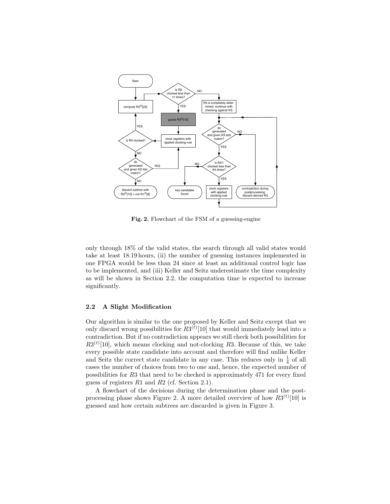

Fig. 2. Flowchart of the FSM of a guessing-engine

only through 18% of the valid states, the search through all valid states would take at least 18.19 hours, (ii) the number of guessing instances implemented in one FPGA would be less than 24 since at least an additional control logic has to be implemented, and (iii) Keller and Seitz underestimate the time complexity as will be shown in Section 2.2, the computation time is expected to increase significantly.

#### 2.2 A Slight Modification

Our algorithm is similar to the one proposed by Keller and Seitz except that we only discard wrong possibilities for  $R3<sup>(t)</sup>$  [10] that would immediately lead into a contradiction. But if no contradiction appears we still check both possibilities for  $R3<sup>(t)</sup>$ [10], which means clocking and not-clocking R3. Because of this, we take every possible state candidate into account and therefore will find unlike Keller and Seitz the correct state candidate in any case. This reduces only in  $\frac{1}{4}$  of all cases the number of choices from two to one and, hence, the expected number of possibilities for R3 that need to be checked is approximately 471 for every fixed guess of registers R1 and R2 (cf. Section 2.1).

A flowchart of the decisions during the determination phase and the postprocessing phase shows Figure 2. A more detailed overview of how  $R3^{(t)}[10]$  is guessed and how certain subtrees are discarded is given in Figure 3.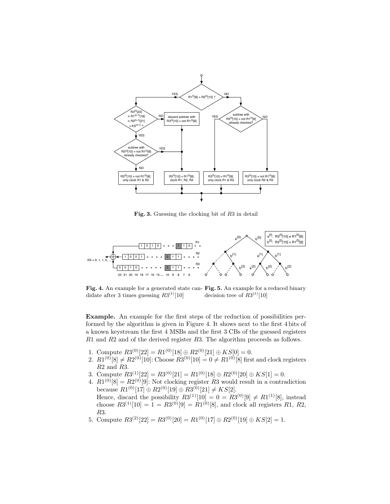

Fig. 3. Guessing the clocking bit of R3 in detail



Fig. 4. An example for a generated state can- Fig. 5. An example for a reduced binary didate after 3 times guessing  $R3^{(t)}[10]$ decision tree of  $R3^{(t)}[10]$ 

Example. An example for the first steps of the reduction of possibilities performed by the algorithm is given in Figure 4. It shows next to the first 4 bits of a known keystream the first 4 MSBs and the first 3 CBs of the guessed registers R1 and R2 and of the derived register R3. The algorithm proceeds as follows.

- 1. Compute  $R3^{(0)}[22] = R1^{(0)}[18] \oplus R2^{(0)}[21] \oplus KS[0] = 0.$
- 2.  $R1^{(0)}[8] \neq R2^{(0)}[10]$ : Choose  $R3^{(0)}[10] = 0 \neq R1^{(0)}[8]$  first and clock registers R2 and R3.
- 3. Compute  $R3^{(1)}[22] = R3^{(0)}[21] = R1^{(0)}[18] \oplus R2^{(0)}[20] \oplus KS[1] = 0.$
- 4.  $R1^{(0)}[8] = R2^{(0)}[9]$ : Not clocking register R3 would result in a contradiction because  $R1^{(0)}[17] \oplus R2^{(0)}[19] \oplus R3^{(0)}[21] \neq KS[2]$ .
- Hence, discard the possibility  $R3^{(1)}[10] = 0 = R3^{(0)}[9] \neq R1^{(1)}[8]$ , instead choose  $R3^{(1)}[10] = 1 = R3^{(0)}[9] = R1^{(0)}[8]$ , and clock all registers  $R1, R2$ , R3.
- 5. Compute  $R3^{(2)}[22] = R3^{(0)}[20] = R1^{(0)}[17] \oplus R2^{(0)}[19] \oplus KS[2] = 1.$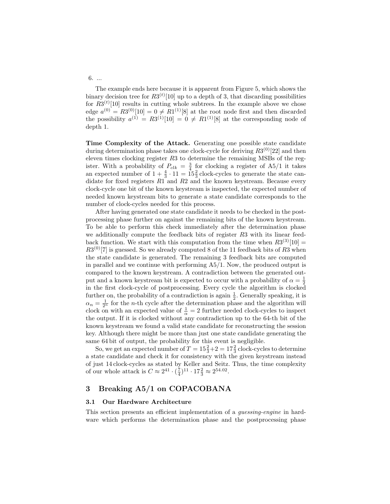6. ...

The example ends here because it is apparent from Figure 5, which shows the binary decision tree for  $R3^{(t)}[10]$  up to a depth of 3, that discarding possibilities for  $R3^{(t)}[10]$  results in cutting whole subtrees. In the example above we chose edge  $a^{(0)} = R3^{(0)}[10] = 0 \neq R1^{(1)}[8]$  at the root node first and then discarded the possibility  $a^{(1)} = R3^{(1)}[10] = 0 \neq R1^{(1)}[8]$  at the corresponding node of depth 1.

Time Complexity of the Attack. Generating one possible state candidate during determination phase takes one clock-cycle for deriving  $R3^{(0)}[22]$  and then eleven times clocking register  $R3$  to determine the remaining MSBs of the register. With a probability of  $P_{clk} = \frac{3}{4}$  for clocking a register of A5/1 it takes an expected number of  $1 + \frac{4}{3} \cdot 11 = 15\frac{2}{3}$  clock-cycles to generate the state candidate for fixed registers  $R1$  and  $R2$  and the known keystream. Because every clock-cycle one bit of the known keystream is inspected, the expected number of needed known keystream bits to generate a state candidate corresponds to the number of clock-cycles needed for this process.

After having generated one state candidate it needs to be checked in the postprocessing phase further on against the remaining bits of the known keystream. To be able to perform this check immediately after the determination phase we additionally compute the feedback bits of register R3 with its linear feedback function. We start with this computation from the time when  $R3^{(3)}[10] =$  $R3^{(0)}[7]$  is guessed. So we already computed 8 of the 11 feedback bits of R3 when the state candidate is generated. The remaining 3 feedback bits are computed in parallel and we continue with performing A5/1. Now, the produced output is compared to the known keystream. A contradiction between the generated output and a known keystream bit is expected to occur with a probability of  $\alpha = \frac{1}{2}$ in the first clock-cycle of postprocessing. Every cycle the algorithm is clocked further on, the probability of a contradiction is again  $\frac{1}{2}$ . Generally speaking, it is  $\alpha_n = \frac{1}{2^n}$  for the *n*-th cycle after the determination phase and the algorithm will clock on with an expected value of  $\frac{1}{\alpha} = 2$  further needed clock-cycles to inspect the output. If it is clocked without any contradiction up to the 64-th bit of the known keystream we found a valid state candidate for reconstructing the session key. Although there might be more than just one state candidate generating the same 64 bit of output, the probability for this event is negligible.

So, we get an expected number of  $T = 15\frac{2}{3} + 2 = 17\frac{2}{3}$  clock-cycles to determine a state candidate and check it for consistency with the given keystream instead of just 14 clock-cycles as stated by Keller and Seitz. Thus, the time complexity of our whole attack is  $C \approx 2^{41} \cdot (\frac{7}{4})^{11} \cdot 17\frac{2}{3} \approx 2^{54.02}$ .

# 3 Breaking A5/1 on COPACOBANA

#### 3.1 Our Hardware Architecture

This section presents an efficient implementation of a guessing-engine in hardware which performs the determination phase and the postprocessing phase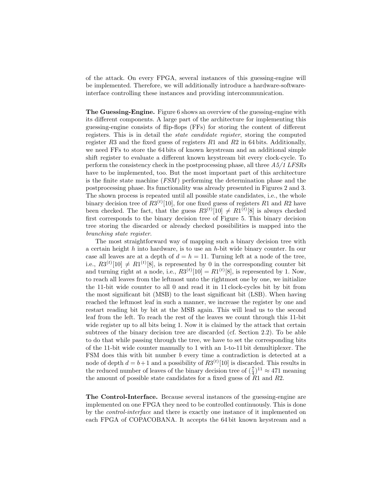of the attack. On every FPGA, several instances of this guessing-engine will be implemented. Therefore, we will additionally introduce a hardware-softwareinterface controlling these instances and providing intercommunication.

The Guessing-Engine. Figure 6 shows an overview of the guessing-engine with its different components. A large part of the architecture for implementing this guessing-engine consists of flip-flops (FFs) for storing the content of different registers. This is in detail the state candidate register, storing the computed register R3 and the fixed guess of registers  $R1$  and  $R2$  in 64 bits. Additionally, we need FFs to store the 64 bits of known keystream and an additional simple shift register to evaluate a different known keystream bit every clock-cycle. To perform the consistency check in the postprocessing phase, all three A5/1 LFSRs have to be implemented, too. But the most important part of this architecture is the finite state machine (FSM ) performing the determination phase and the postprocessing phase. Its functionality was already presented in Figures 2 and 3. The shown process is repeated until all possible state candidates, i.e., the whole binary decision tree of  $R3^{(t)}[10]$ , for one fixed guess of registers R1 and R2 have been checked. The fact, that the guess  $R3^{(t)}[10] \neq R1^{(t)}[8]$  is always checked first corresponds to the binary decision tree of Figure 5. This binary decision tree storing the discarded or already checked possibilities is mapped into the branching state register.

The most straightforward way of mapping such a binary decision tree with a certain height  $h$  into hardware, is to use an  $h$ -bit wide binary counter. In our case all leaves are at a depth of  $d = h = 11$ . Turning left at a node of the tree, i.e.,  $R3^{(t)}[10] \neq R1^{(t)}[8]$ , is represented by 0 in the corresponding counter bit and turning right at a node, i.e.,  $R3^{(t)}[10] = R1^{(t)}[8]$ , is represented by 1. Now, to reach all leaves from the leftmost unto the rightmost one by one, we initialize the 11-bit wide counter to all 0 and read it in 11 clock-cycles bit by bit from the most significant bit (MSB) to the least significant bit (LSB). When having reached the leftmost leaf in such a manner, we increase the register by one and restart reading bit by bit at the MSB again. This will lead us to the second leaf from the left. To reach the rest of the leaves we count through this 11-bit wide register up to all bits being 1. Now it is claimed by the attack that certain subtrees of the binary decision tree are discarded (cf. Section 2.2). To be able to do that while passing through the tree, we have to set the corresponding bits of the 11-bit wide counter manually to 1 with an 1-to-11 bit demultiplexer. The FSM does this with bit number b every time a contradiction is detected at a node of depth  $d = b + 1$  and a possibility of  $R3^{(t)}[10]$  is discarded. This results in the reduced number of leaves of the binary decision tree of  $(\frac{7}{4})^{11} \approx 471$  meaning the amount of possible state candidates for a fixed guess of  $R1$  and  $R2$ .

The Control-Interface. Because several instances of the guessing-engine are implemented on one FPGA they need to be controlled continuously. This is done by the control-interface and there is exactly one instance of it implemented on each FPGA of COPACOBANA. It accepts the 64 bit known keystream and a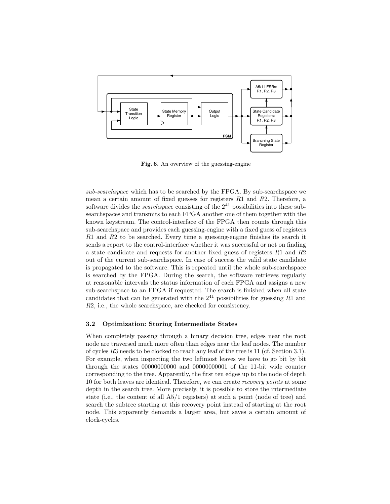

Fig. 6. An overview of the guessing-engine

sub-searchspace which has to be searched by the FPGA. By sub-searchspace we mean a certain amount of fixed guesses for registers  $R1$  and  $R2$ . Therefore, a software divides the *searchspace* consisting of the  $2^{41}$  possibilities into these subsearchspaces and transmits to each FPGA another one of them together with the known keystream. The control-interface of the FPGA then counts through this sub-searchspace and provides each guessing-engine with a fixed guess of registers R1 and R2 to be searched. Every time a guessing-engine finishes its search it sends a report to the control-interface whether it was successful or not on finding a state candidate and requests for another fixed guess of registers R1 and R2 out of the current sub-searchspace. In case of success the valid state candidate is propagated to the software. This is repeated until the whole sub-searchspace is searched by the FPGA. During the search, the software retrieves regularly at reasonable intervals the status information of each FPGA and assigns a new sub-searchspace to an FPGA if requested. The search is finished when all state candidates that can be generated with the  $2^{41}$  possibilities for guessing R1 and R2, i.e., the whole searchspace, are checked for consistency.

#### 3.2 Optimization: Storing Intermediate States

When completely passing through a binary decision tree, edges near the root node are traversed much more often than edges near the leaf nodes. The number of cycles R3 needs to be clocked to reach any leaf of the tree is 11 (cf. Section 3.1). For example, when inspecting the two leftmost leaves we have to go bit by bit through the states 00000000000 and 00000000001 of the 11-bit wide counter corresponding to the tree. Apparently, the first ten edges up to the node of depth 10 for both leaves are identical. Therefore, we can create recovery points at some depth in the search tree. More precisely, it is possible to store the intermediate state (i.e., the content of all A5/1 registers) at such a point (node of tree) and search the subtree starting at this recovery point instead of starting at the root node. This apparently demands a larger area, but saves a certain amount of clock-cycles.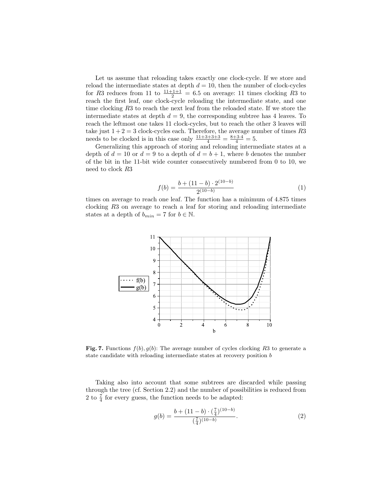Let us assume that reloading takes exactly one clock-cycle. If we store and reload the intermediate states at depth  $d = 10$ , then the number of clock-cycles for R3 reduces from 11 to  $\frac{11+1+1}{2} = 6.5$  on average: 11 times clocking R3 to reach the first leaf, one clock-cycle reloading the intermediate state, and one time clocking R3 to reach the next leaf from the reloaded state. If we store the intermediate states at depth  $d = 9$ , the corresponding subtree has 4 leaves. To reach the leftmost one takes 11 clock-cycles, but to reach the other 3 leaves will take just  $1+2=3$  clock-cycles each. Therefore, the average number of times  $R3$ needs to be clocked is in this case only  $\frac{11+3+3+3}{4} = \frac{8+3\cdot 4}{4} = 5$ .

Generalizing this approach of storing and reloading intermediate states at a depth of  $d = 10$  or  $d = 9$  to a depth of  $d = b + 1$ , where b denotes the number of the bit in the 11-bit wide counter consecutively numbered from 0 to 10, we need to clock R3

$$
f(b) = \frac{b + (11 - b) \cdot 2^{(10 - b)}}{2^{(10 - b)}}\tag{1}
$$

times on average to reach one leaf. The function has a minimum of 4.875 times clocking R3 on average to reach a leaf for storing and reloading intermediate states at a depth of  $b_{min} = 7$  for  $b \in \mathbb{N}$ .



Fig. 7. Functions  $f(b), g(b)$ : The average number of cycles clocking R3 to generate a state candidate with reloading intermediate states at recovery position b

Taking also into account that some subtrees are discarded while passing through the tree (cf. Section 2.2) and the number of possibilities is reduced from 2 to  $\frac{7}{4}$  for every guess, the function needs to be adapted:

$$
g(b) = \frac{b + (11 - b) \cdot (\frac{7}{4})^{(10 - b)}}{(\frac{7}{4})^{(10 - b)}}.
$$
 (2)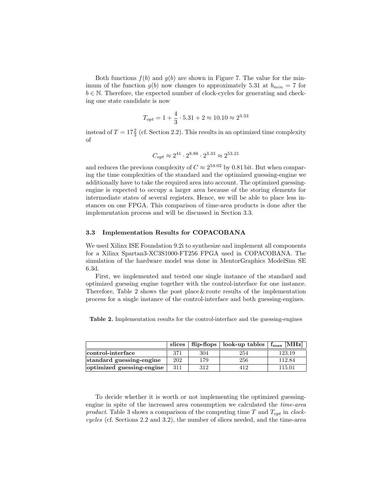Both functions  $f(b)$  and  $g(b)$  are shown in Figure 7. The value for the minimum of the function  $g(b)$  now changes to approximately 5.31 at  $b_{min} = 7$  for  $b \in \mathbb{N}$ . Therefore, the expected number of clock-cycles for generating and checking one state candidate is now

$$
T_{opt} = 1 + \frac{4}{3} \cdot 5.31 + 2 \approx 10.10 \approx 2^{3.33}
$$

instead of  $T = 17\frac{2}{3}$  (cf. Section 2.2). This results in an optimized time complexity of

$$
C_{opt} \approx 2^{41} \cdot 2^{8.88} \cdot 2^{3.33} \approx 2^{53.21}
$$

and reduces the previous complexity of  $C \approx 2^{54.02}$  by 0.81 bit. But when comparing the time complexities of the standard and the optimized guessing-engine we additionally have to take the required area into account. The optimized guessingengine is expected to occupy a larger area because of the storing elements for intermediate states of several registers. Hence, we will be able to place less instances on one FPGA. This comparison of time-area products is done after the implementation process and will be discussed in Section 3.3.

#### 3.3 Implementation Results for COPACOBANA

We used Xilinx ISE Foundation 9.2i to synthesize and implement all components for a Xilinx Spartan3-XC3S1000-FT256 FPGA used in COPACOBANA. The simulation of the hardware model was done in MentorGraphics ModelSim SE 6.3d.

First, we implemented and tested one single instance of the standard and optimized guessing engine together with the control-interface for one instance. Therefore, Table 2 shows the post place  $&$  route results of the implementation process for a single instance of the control-interface and both guessing-engines.

Table 2. Implementation results for the control-interface and the guessing-engines

|                           |     | slices $\vert$ flip-flops $\vert$ | look-up tables | $f_{\rm max}$ [MHz] |
|---------------------------|-----|-----------------------------------|----------------|---------------------|
| control-interface         | 371 | 304                               | 254            | 123.19              |
| standard guessing-engine  | 202 | 179                               | 256            | 112.84              |
| optimized guessing-engine | 311 | 312                               | 412            | 115.01              |

To decide whether it is worth or not implementing the optimized guessingengine in spite of the increased area consumption we calculated the time-area product. Table 3 shows a comparison of the computing time T and  $T_{opt}$  in clockcycles (cf. Sections 2.2 and 3.2), the number of slices needed, and the time-area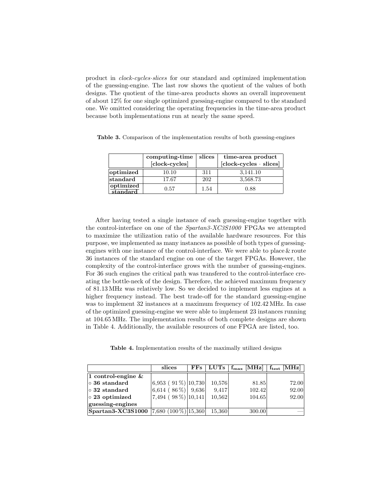product in clock-cycles·slices for our standard and optimized implementation of the guessing-engine. The last row shows the quotient of the values of both designs. The quotient of the time-area products shows an overall improvement of about 12% for one single optimized guessing-engine compared to the standard one. We omitted considering the operating frequencies in the time-area product because both implementations run at nearly the same speed.

|                       | computing-time<br>[clock-cycles] | slices | time-area product<br>$[clock-cycles \cdot slices]$ |
|-----------------------|----------------------------------|--------|----------------------------------------------------|
| $ $ optimized         | 10.10                            | 311    | 3,141.10                                           |
| $ \mathrm{standard} $ | 17.67                            | 202    | 3,568.73                                           |
| optimized<br>standard | 0.57                             | 1.54   | 0.88                                               |

Table 3. Comparison of the implementation results of both guessing-engines

After having tested a single instance of each guessing-engine together with the control-interface on one of the Spartan3-XC3S1000 FPGAs we attempted to maximize the utilization ratio of the available hardware resources. For this purpose, we implemented as many instances as possible of both types of guessingengines with one instance of the control-interface. We were able to place & route 36 instances of the standard engine on one of the target FPGAs. However, the complexity of the control-interface grows with the number of guessing-engines. For 36 such engines the critical path was transfered to the control-interface creating the bottle-neck of the design. Therefore, the achieved maximum frequency of 81.13 MHz was relatively low. So we decided to implement less engines at a higher frequency instead. The best trade-off for the standard guessing-engine was to implement 32 instances at a maximum frequency of  $102.42 \text{ MHz}$ . In case of the optimized guessing-engine we were able to implement 23 instances running at 104.65 MHz. The implementation results of both complete designs are shown in Table 4. Additionally, the available resources of one FPGA are listed, too.

Table 4. Implementation results of the maximally utilized designs

|                                    | slices                   | $_{\rm FFs}$ | ${\rm LUTs}$ | $\mid$ f <sub>max</sub> [MHz] | $f_{\text{test}}$ [MHz] $ $ |
|------------------------------------|--------------------------|--------------|--------------|-------------------------------|-----------------------------|
| 1 control-engine $\&$              |                          |              |              |                               |                             |
| $\circ$ 36 standard                | 6,953 (91\%) $ 10,730 $  |              | 10,576       | 81.85                         | 72.00                       |
| $\circ$ 32 standard                | 6,614 (86 %)   9,636     |              | 9.417        | 102.42                        | 92.00                       |
| $ 0 23$ optimized                  | $7,494$ (98%) 10,141     |              | 10,562       | 104.65                        | 92.00                       |
| guessing-engines                   |                          |              |              |                               |                             |
| $\operatorname{Spartan3-XC3S1000}$ | $[7,680 (100\%)]15,360]$ |              | 15.360       | 300.00                        |                             |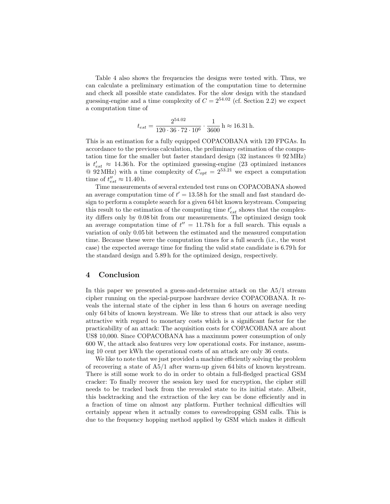Table 4 also shows the frequencies the designs were tested with. Thus, we can calculate a preliminary estimation of the computation time to determine and check all possible state candidates. For the slow design with the standard guessing-engine and a time complexity of  $C = 2^{54.02}$  (cf. Section 2.2) we expect a computation time of

$$
t_{est} = \frac{2^{54.02}}{120 \cdot 36 \cdot 72 \cdot 10^6} \cdot \frac{1}{3600} \text{ h} \approx 16.31 \text{ h}.
$$

This is an estimation for a fully equipped COPACOBANA with 120 FPGAs. In accordance to the previous calculation, the preliminary estimation of the computation time for the smaller but faster standard design (32 instances @ 92 MHz) is  $t'_{est} \approx 14.36$  h. For the optimized guessing-engine (23 optimized instances  $\Omega$  92 MHz) with a time complexity of  $C_{opt} = 2^{53.21}$  we expect a computation time of  $t''_{est} \approx 11.40$  h.

Time measurements of several extended test runs on COPACOBANA showed an average computation time of  $t' = 13.58$  h for the small and fast standard design to perform a complete search for a given 64 bit known keystream. Comparing this result to the estimation of the computing time  $t'_{est}$  shows that the complexity differs only by 0.08 bit from our measurements. The optimized design took an average computation time of  $t'' = 11.78$  h for a full search. This equals a variation of only 0.05 bit between the estimated and the measured computation time. Because these were the computation times for a full search (i.e., the worst case) the expected average time for finding the valid state candidate is 6.79 h for the standard design and 5.89 h for the optimized design, respectively.

# 4 Conclusion

In this paper we presented a guess-and-determine attack on the A5/1 stream cipher running on the special-purpose hardware device COPACOBANA. It reveals the internal state of the cipher in less than 6 hours on average needing only 64 bits of known keystream. We like to stress that our attack is also very attractive with regard to monetary costs which is a significant factor for the practicability of an attack: The acquisition costs for COPACOBANA are about US\$ 10,000. Since COPACOBANA has a maximum power consumption of only 600 W, the attack also features very low operational costs. For instance, assuming 10 cent per kWh the operational costs of an attack are only 36 cents.

We like to note that we just provided a machine efficiently solving the problem of recovering a state of A5/1 after warm-up given 64 bits of known keystream. There is still some work to do in order to obtain a full-fledged practical GSM cracker: To finally recover the session key used for encryption, the cipher still needs to be tracked back from the revealed state to its initial state. Albeit, this backtracking and the extraction of the key can be done efficiently and in a fraction of time on almost any platform. Further technical difficulties will certainly appear when it actually comes to eavesdropping GSM calls. This is due to the frequency hopping method applied by GSM which makes it difficult